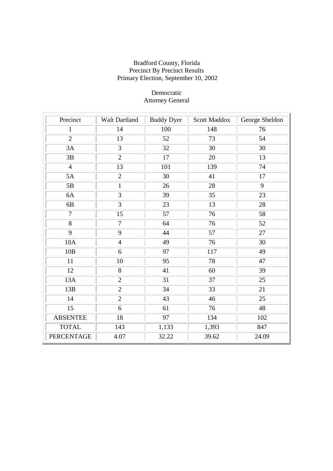| 1.00110, 0.01010  |                |                   |                     |                 |
|-------------------|----------------|-------------------|---------------------|-----------------|
| Precinct          | Walt Dartland  | <b>Buddy Dyer</b> | <b>Scott Maddox</b> | George Sheldon  |
| $\mathbf{1}$      | 14             | 100               | 148                 | 76              |
| $\overline{2}$    | 13             | 52                | 73                  | 54              |
| 3A                | $\overline{3}$ | 32                | 30                  | 30              |
| 3B                | $\overline{2}$ | 17                | 20                  | 13              |
| $\overline{4}$    | 13             | 101               | 139                 | 74              |
| 5A                | $\overline{2}$ | 30                | 41                  | 17              |
| 5B                | $\mathbf{1}$   | 26                | 28                  | 9               |
| 6A                | 3              | 39                | 35                  | 23              |
| 6B                | $\overline{3}$ | 23                | 13                  | 28              |
| $\overline{7}$    | 15             | 57                | 76                  | 58              |
| 8                 | $\overline{7}$ | 64                | 76                  | 52              |
| 9                 | 9              | 44                | 57                  | 27              |
| <b>10A</b>        | $\overline{4}$ | 49                | 76                  | 30              |
| 10B               | 6              | 97                | 117                 | 49              |
| 11                | 10             | 95                | 78                  | 47              |
| 12                | 8              | 41                | 60                  | 39              |
| 13A               | $\overline{2}$ | 31                | $\overline{37}$     | 25              |
| 13B               | $\overline{2}$ | 34                | 33                  | 21              |
| 14                | $\overline{2}$ | $\overline{43}$   | $\overline{46}$     | $\overline{25}$ |
| 15                | 6              | 61                | 76                  | 48              |
| <b>ABSENTEE</b>   | 18             | 97                | 134                 | 102             |
| <b>TOTAL</b>      | 143            | 1,133             | 1,393               | 847             |
| <b>PERCENTAGE</b> | 4.07           | 32.22             | 39.62               | 24.09           |

## Democratic Attorney General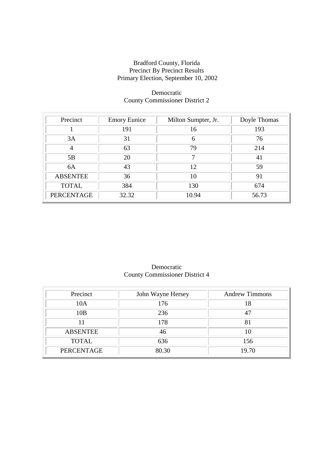#### Democratic County Commissioner District 2

| Precinct        | <b>Emory Eunice</b> | Milton Sumpter, Jr. | Doyle Thomas |
|-----------------|---------------------|---------------------|--------------|
|                 | 191                 | 16                  | 193          |
| 3A              | 31                  |                     | 76           |
| 4               | 63                  | 79                  | 214          |
| 5B              | 20                  |                     | 41           |
| 6A              | 43                  | 12                  | 59           |
| <b>ABSENTEE</b> | 36                  | 10                  | 91           |
| <b>TOTAL</b>    | 384                 | 130                 | 674          |
| PERCENTAGE      | 32.32               | 10.94               | 56.73        |

## Democratic County Commissioner District 4

| Precinct          | John Wayne Hersey | <b>Andrew Timmons</b> |
|-------------------|-------------------|-----------------------|
| 10A               | 176               | 18                    |
| 10B               | 236               |                       |
|                   | 178               |                       |
| <b>ABSENTEE</b>   | 46                |                       |
| <b>TOTAL</b>      | 636               | 156                   |
| <b>PERCENTAGE</b> | 80.30             | 19.70                 |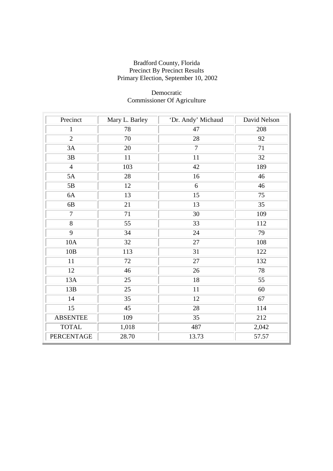## Democratic Commissioner Of Agriculture

| Precinct          | Mary L. Barley | 'Dr. Andy' Michaud | David Nelson |
|-------------------|----------------|--------------------|--------------|
| $\mathbf{1}$      | 78             | 47                 | 208          |
| $\overline{2}$    | 70             | 28                 | 92           |
| 3A                | 20             | $\tau$             | 71           |
| 3B                | 11             | 11                 | 32           |
| $\overline{4}$    | 103            | 42                 | 189          |
| 5A                | 28             | 16                 | 46           |
| 5B                | 12             | 6                  | 46           |
| 6A                | 13             | 15                 | 75           |
| 6B                | 21             | 13                 | 35           |
| $\overline{7}$    | 71             | 30                 | 109          |
| $\overline{8}$    | 55             | 33                 | 112          |
| 9                 | 34             | 24                 | 79           |
| 10A               | 32             | 27                 | 108          |
| 10B               | 113            | 31                 | 122          |
| 11                | 72             | 27                 | 132          |
| 12                | 46             | $26\,$             | 78           |
| 13A               | 25             | 18                 | 55           |
| 13B               | 25             | 11                 | 60           |
| 14                | 35             | 12                 | 67           |
| 15                | 45             | 28                 | 114          |
| <b>ABSENTEE</b>   | 109            | 35                 | 212          |
| <b>TOTAL</b>      | 1,018          | 487                | 2,042        |
| <b>PERCENTAGE</b> | 28.70          | 13.73              | 57.57        |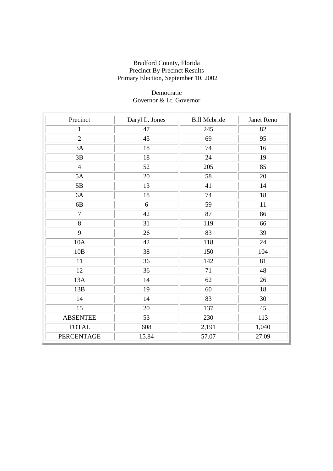## Democratic Governor & Lt. Governor

| Precinct          | Daryl L. Jones | <b>Bill Mcbride</b> | Janet Reno |
|-------------------|----------------|---------------------|------------|
| $\mathbf{1}$      | 47             | 245                 | 82         |
| $\overline{2}$    | 45             | 69                  | 95         |
| 3A                | $18\,$         | 74                  | 16         |
| 3B                | 18             | 24                  | 19         |
| $\overline{4}$    | 52             | 205                 | 85         |
| 5A                | 20             | 58                  | 20         |
| 5B                | 13             | 41                  | 14         |
| 6A                | 18             | 74                  | 18         |
| 6B                | 6              | 59                  | $11\,$     |
| $\overline{7}$    | 42             | 87                  | 86         |
| $\,8\,$           | 31             | 119                 | 66         |
| 9                 | 26             | 83                  | 39         |
| 10A               | 42             | 118                 | 24         |
| 10B               | 38             | 150                 | 104        |
| 11                | 36             | 142                 | 81         |
| 12                | 36             | 71                  | 48         |
| 13A               | 14             | 62                  | $26\,$     |
| 13B               | 19             | 60                  | 18         |
| 14                | 14             | 83                  | 30         |
| 15                | 20             | 137                 | 45         |
| <b>ABSENTEE</b>   | 53             | 230                 | 113        |
| <b>TOTAL</b>      | 608            | 2,191               | 1,040      |
| <b>PERCENTAGE</b> | 15.84          | 57.07               | 27.09      |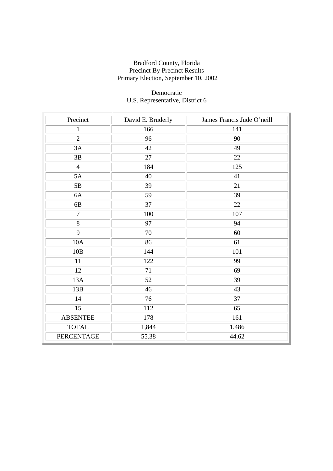## Democratic U.S. Representative, District 6

| Precinct          | David E. Bruderly | James Francis Jude O'neill |
|-------------------|-------------------|----------------------------|
| $\mathbf{1}$      | 166               | 141                        |
| $\overline{2}$    | 96                | 90                         |
| 3A                | 42                | 49                         |
| 3B                | 27                | 22                         |
| $\overline{4}$    | 184               | 125                        |
| 5A                | 40                | 41                         |
| $5\mathrm{B}$     | 39                | 21                         |
| 6A                | 59                | 39                         |
| 6B                | 37                | 22                         |
| $\overline{7}$    | 100               | 107                        |
| 8                 | 97                | 94                         |
| 9                 | 70                | 60                         |
| 10A               | 86                | 61                         |
| 10B               | 144               | 101                        |
| 11                | 122               | 99                         |
| 12                | 71                | 69                         |
| 13A               | 52                | 39                         |
| 13B               | 46                | 43                         |
| 14                | 76                | 37                         |
| 15                | 112               | 65                         |
| <b>ABSENTEE</b>   | 178               | 161                        |
| <b>TOTAL</b>      | 1,844             | 1,486                      |
| <b>PERCENTAGE</b> | 55.38             | 44.62                      |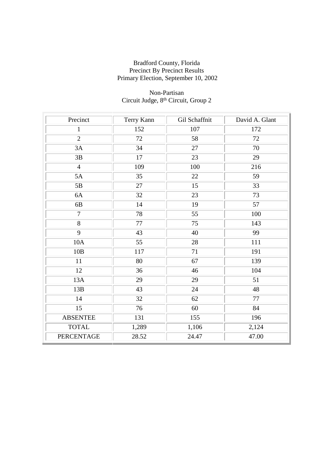## Non-Partisan Circuit Judge, 8th Circuit, Group 2

| Precinct          | Terry Kann | Gil Schaffnit | David A. Glant |
|-------------------|------------|---------------|----------------|
| $\mathbf{1}$      | 152        | 107           | 172            |
| $\overline{2}$    | 72         | 58            | 72             |
| 3A                | 34         | 27            | 70             |
| 3B                | 17         | 23            | 29             |
| $\overline{4}$    | 109        | 100           | 216            |
| 5A                | 35         | 22            | 59             |
| 5B                | 27         | 15            | 33             |
| 6A                | 32         | 23            | 73             |
| 6B                | 14         | 19            | 57             |
| $\overline{7}$    | 78         | 55            | 100            |
| 8                 | 77         | 75            | 143            |
| 9                 | 43         | 40            | 99             |
| 10A               | 55         | 28            | 111            |
| 10B               | 117        | 71            | 191            |
| 11                | 80         | 67            | 139            |
| 12                | 36         | 46            | 104            |
| 13A               | 29         | 29            | 51             |
| 13B               | 43         | 24            | 48             |
| 14                | 32         | 62            | 77             |
| 15                | 76         | 60            | 84             |
| <b>ABSENTEE</b>   | 131        | 155           | 196            |
| <b>TOTAL</b>      | 1,289      | 1,106         | 2,124          |
| <b>PERCENTAGE</b> | 28.52      | 24.47         | 47.00          |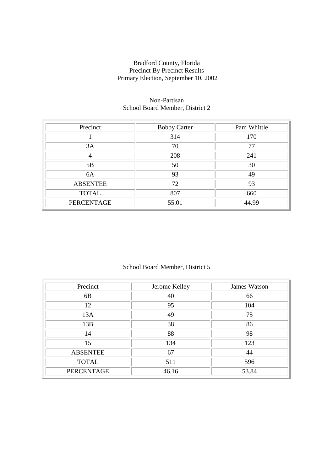#### Non-Partisan School Board Member, District 2

| Precinct          | <b>Bobby Carter</b> | Pam Whittle |
|-------------------|---------------------|-------------|
|                   | 314                 | 170         |
| 3A                | 70                  | 77          |
| 4                 | 208                 | 241         |
| 5B                | 50                  | 30          |
| 6A                | 93                  | 49          |
| <b>ABSENTEE</b>   | 72                  | 93          |
| <b>TOTAL</b>      | 807                 | 660         |
| <b>PERCENTAGE</b> | 55.01               | 44.99       |

## School Board Member, District 5

| Precinct          | Jerome Kelley | James Watson |
|-------------------|---------------|--------------|
| 6 <sub>B</sub>    | 40            | 66           |
| 12                | 95            | 104          |
| 13A               | 49            | 75           |
| 13B               | 38            | 86           |
| 14                | 88            | 98           |
| 15                | 134           | 123          |
| <b>ABSENTEE</b>   | 67            | 44           |
| <b>TOTAL</b>      | 511           | 596          |
| <b>PERCENTAGE</b> | 46.16         | 53.84        |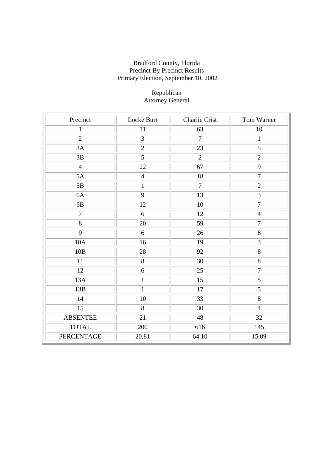## Republican Attorney General

| Precinct          | Locke Burt     | Charlie Crist  | Tom Warner     |
|-------------------|----------------|----------------|----------------|
| $\mathbf{1}$      | 11             | 63             | $10\,$         |
| $\overline{2}$    | $\overline{3}$ | $\overline{7}$ | $\mathbf{1}$   |
| 3A                | $\overline{2}$ | 23             | 5              |
| 3B                | 5              | $\overline{2}$ | $\overline{2}$ |
| $\overline{4}$    | 22             | 67             | 9              |
| 5A                | $\overline{4}$ | 18             | $\overline{7}$ |
| 5B                | $\mathbf{1}$   | $\overline{7}$ | $\overline{2}$ |
| 6A                | 9              | 13             | 3              |
| 6B                | 12             | 10             | $\overline{7}$ |
| $\overline{7}$    | 6              | 12             | $\overline{4}$ |
| 8                 | 20             | 59             | $\overline{7}$ |
| 9                 | $6\,$          | 26             | 8              |
| 10A               | 16             | 19             | 3              |
| 10B               | 28             | 92             | 8              |
| 11                | $8\,$          | 30             | 8              |
| 12                | 6              | 25             | $\overline{7}$ |
| 13A               | $\mathbf{1}$   | 15             | $\overline{5}$ |
| 13B               | $\mathbf{1}$   | 17             | $\overline{5}$ |
| 14                | 10             | 33             | $\overline{8}$ |
| 15                | 8              | 30             | $\overline{4}$ |
| <b>ABSENTEE</b>   | 21             | 48             | 32             |
| <b>TOTAL</b>      | 200            | 616            | 145            |
| <b>PERCENTAGE</b> | 20.81          | 64.10          | 15.09          |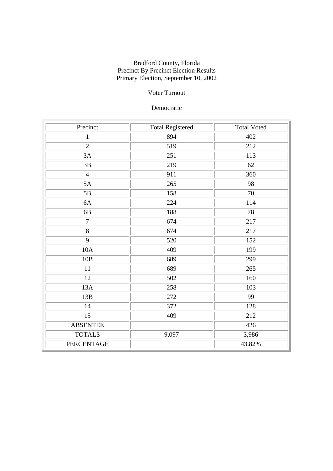## Voter Turnout

## Democratic

| Precinct        | <b>Total Registered</b> | <b>Total Voted</b> |
|-----------------|-------------------------|--------------------|
| $\mathbf{1}$    | 894                     | 402                |
| $\overline{2}$  | 519                     | 212                |
| 3A              | 251                     | 113                |
| 3B              | 219                     | 62                 |
| $\overline{4}$  | 911                     | 360                |
| 5A              | 265                     | 98                 |
| 5B              | 158                     | $70\,$             |
| 6A              | 224                     | 114                |
| 6B              | 188                     | 78                 |
| $\overline{7}$  | 674                     | 217                |
| 8               | 674                     | 217                |
| 9               | 520                     | 152                |
| 10A             | 409                     | 199                |
| 10B             | 689                     | 299                |
| 11              | 689                     | 265                |
| 12              | 502                     | 160                |
| 13A             | 258                     | 103                |
| 13B             | 272                     | 99                 |
| 14              | 372                     | 128                |
| 15              | 409                     | 212                |
| <b>ABSENTEE</b> |                         | 426                |
| <b>TOTALS</b>   | 9,097                   | 3,986              |
| PERCENTAGE      |                         | 43.82%             |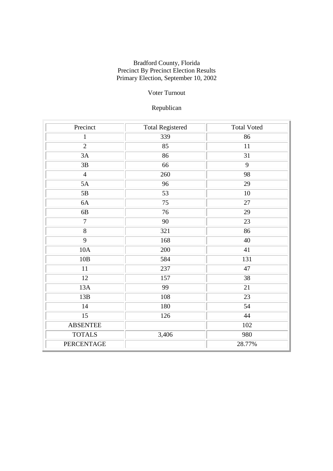## Voter Turnout

# Republican

| Precinct          | <b>Total Registered</b> | <b>Total Voted</b> |
|-------------------|-------------------------|--------------------|
| $\mathbf{1}$      | 339                     | 86                 |
| $\overline{2}$    | 85                      | $11\,$             |
| 3A                | 86                      | 31                 |
| $3\mathrm{B}$     | 66                      | 9                  |
| $\overline{4}$    | 260                     | 98                 |
| 5A                | 96                      | 29                 |
| 5B                | 53                      | 10                 |
| 6A                | 75                      | $27\,$             |
| 6B                | 76                      | 29                 |
| $\overline{7}$    | 90                      | 23                 |
| $8\,$             | 321                     | 86                 |
| 9                 | 168                     | 40                 |
| 10A               | 200                     | 41                 |
| 10B               | 584                     | 131                |
| 11                | 237                     | 47                 |
| 12                | 157                     | 38                 |
| 13A               | 99                      | $\overline{21}$    |
| 13B               | 108                     | 23                 |
| 14                | 180                     | 54                 |
| 15                | 126                     | 44                 |
| <b>ABSENTEE</b>   |                         | 102                |
| <b>TOTALS</b>     | 3,406                   | 980                |
| <b>PERCENTAGE</b> |                         | 28.77%             |